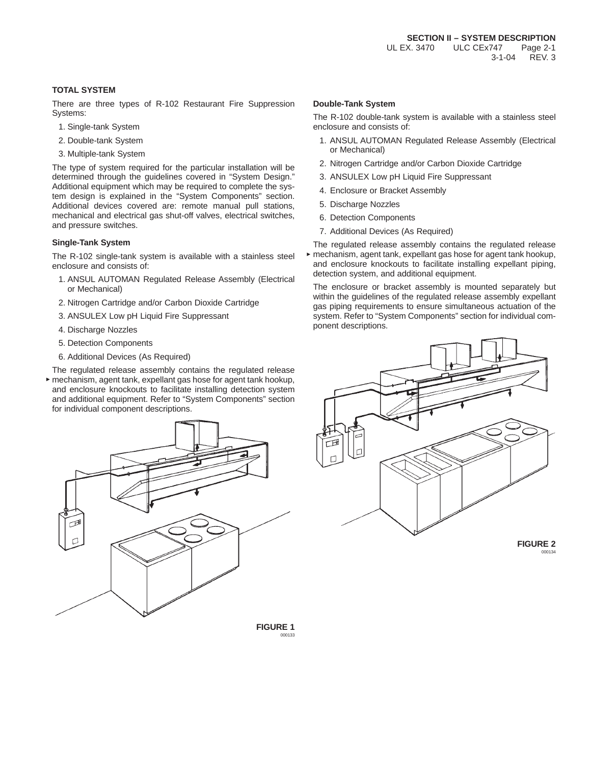## **TOTAL SYSTEM**

There are three types of R-102 Restaurant Fire Suppression Systems:

- 1. Single-tank System
- 2. Double-tank System
- 3. Multiple-tank System

The type of system required for the particular installation will be determined through the guidelines covered in "System Design." Additional equipment which may be required to complete the system design is explained in the "System Components" section. Additional devices covered are: remote manual pull stations, mechanical and electrical gas shut-off valves, electrical switches, and pressure switches.

### **Single-Tank System**

The R-102 single-tank system is available with a stainless steel enclosure and consists of:

- 1. ANSUL AUTOMAN Regulated Release Assembly (Electrical or Mechanical)
- 2. Nitrogen Cartridge and/or Carbon Dioxide Cartridge
- 3. ANSULEX Low pH Liquid Fire Suppressant
- 4. Discharge Nozzles
- 5. Detection Components
- 6. Additional Devices (As Required)

The regulated release assembly contains the regulated release mechanism, agent tank, expellant gas hose for agent tank hookup, and enclosure knockouts to facilitate installing detection system and additional equipment. Refer to "System Components" section for individual component descriptions.



### **Double-Tank System**

The R-102 double-tank system is available with a stainless steel enclosure and consists of:

- 1. ANSUL AUTOMAN Regulated Release Assembly (Electrical or Mechanical)
- 2. Nitrogen Cartridge and/or Carbon Dioxide Cartridge
- 3. ANSULEX Low pH Liquid Fire Suppressant
- 4. Enclosure or Bracket Assembly
- 5. Discharge Nozzles
- 6. Detection Components
- 7. Additional Devices (As Required)
- The regulated release assembly contains the regulated release mechanism, agent tank, expellant gas hose for agent tank hookup, and enclosure knockouts to facilitate installing expellant piping, detection system, and additional equipment.

The enclosure or bracket assembly is mounted separately but within the guidelines of the regulated release assembly expellant gas piping requirements to ensure simultaneous actuation of the system. Refer to "System Components" section for individual component descriptions.



000134

**FIGURE 1** 000133